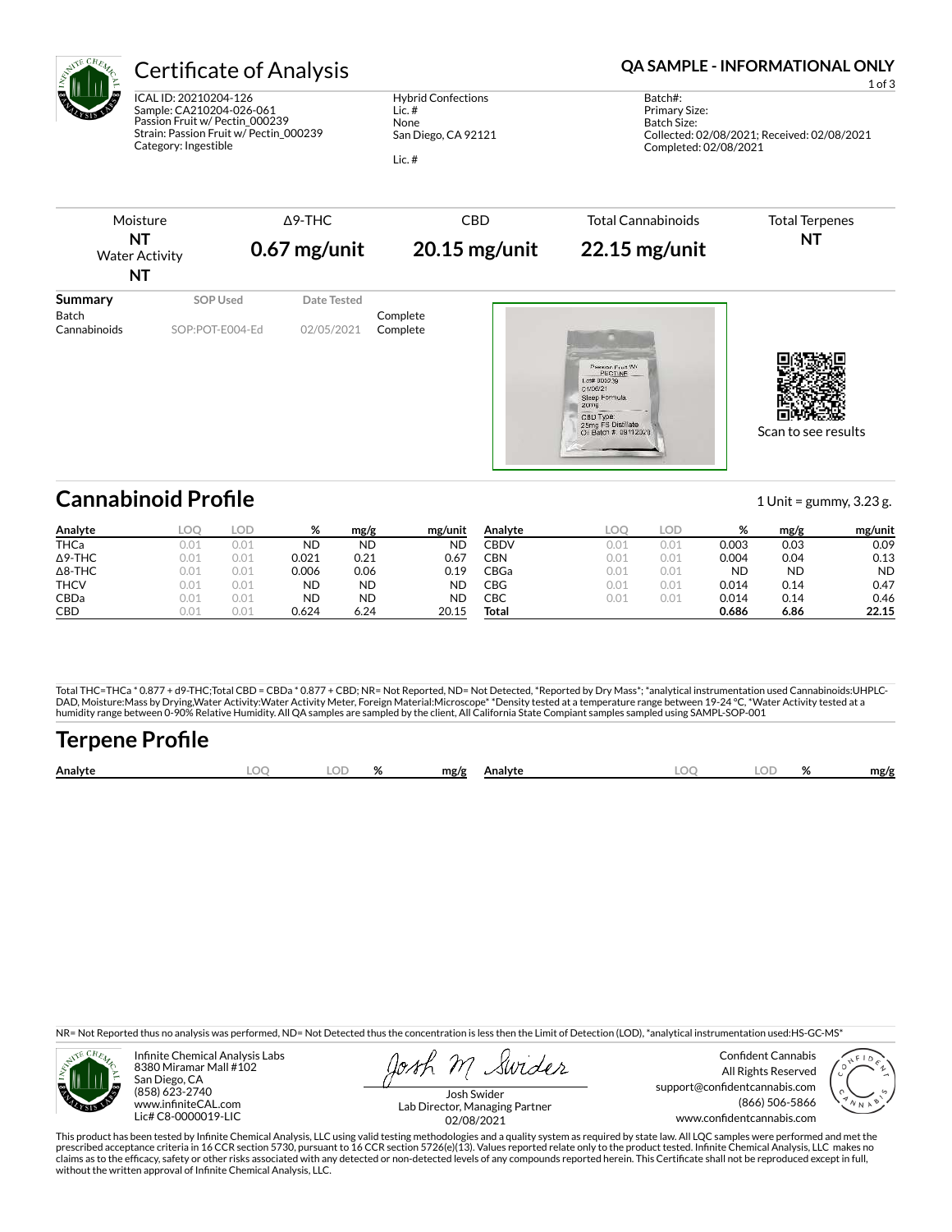

## Certificate of Analysis **Certificate of Analysis QA SAMPLE - INFORMATIONAL ONLY**

ICAL ID: 20210204-126 Sample: CA210204-026-061 Passion Fruit w/ Pectin\_000239 Strain: Passion Fruit w/ Pectin\_000239 Category: Ingestible

Hybrid Confections Lic. # None San Diego, CA 92121 Lic. #

1 of 3

Batch#: Primary Size: Batch Size: Collected: 02/08/2021; Received: 02/08/2021 Completed: 02/08/2021



**Analyte LOQ LOD % mg/g mg/unit** THCa 0.01 0.01 ND ND ND Δ9-THC 0.01 0.01 0.021 0.21 0.67 Δ8-THC 0.01 0.01 0.006 0.06 0.19 THCV 0.01 0.01 ND ND ND CBDa 0.01 0.01 ND ND ND CBD 0.01 0.01 0.624 6.24 20.15 **Analyte LOQ LOD % mg/g mg/unit** CBDV 0.01 0.01 0.003 0.03 0.09 CBN 0.01 0.01 0.004 0.04 0.13 CBGa 0.01 0.01 ND ND ND CBG 0.01 0.01 0.014 0.14 0.47 CBC 0.01 0.01 0.014 0.14 0.46 **Total 0.686 6.86 22.15**

Total THC=THCa \* 0.877 + d9-THC;Total CBD = CBDa \* 0.877 + CBD; NR= Not Reported, ND= Not Detected, \*Reported by Dry Mass\*; \*analytical instrumentation used Cannabinoids:UHPLC-DAD, Moisture:Mass by Drying,Water Activity:Water Activity Meter, Foreign Material:Microscope\* \*Density tested at a temperature range between 19-24 °C, \*Water Activity tested at a<br>humidity range between 0-90% Relative Humi

# **Terpene Pro×le**

| Analyte | ЛC | $\sim$<br>70 | mg/g | Analvt | ገር | $\mathbf{a}$<br>$\sqrt{2}$ | mg/s |
|---------|----|--------------|------|--------|----|----------------------------|------|
|         |    |              |      |        |    |                            |      |

NR= Not Reported thus no analysis was performed, ND= Not Detected thus the concentration is less then the Limit of Detection (LOD), \*analytical instrumentation used:HS-GC-MS\*



Infinite Chemical Analysis Labs 8380 Miramar Mall #102 San Diego, CA (858) 623-2740 www.infiniteCAL.com Lic# C8-0000019-LIC

Swider

Confident Cannabis All Rights Reserved support@confidentcannabis.com (866) 506-5866 www.confidentcannabis.com



Josh Swider Lab Director, Managing Partner 02/08/2021

This product has been tested by Infinite Chemical Analysis, LLC using valid testing methodologies and a quality system as required by state law. All LQC samples were performed and met the prescribed acceptance criteria in 16 CCR section 5730, pursuant to 16 CCR section 5726(e)(13). Values reported relate only to the product tested. Infinite Chemical Analysis, LLC makes no<br>claims as to the efficacy, safety o without the written approval of Infinite Chemical Analysis, LLC.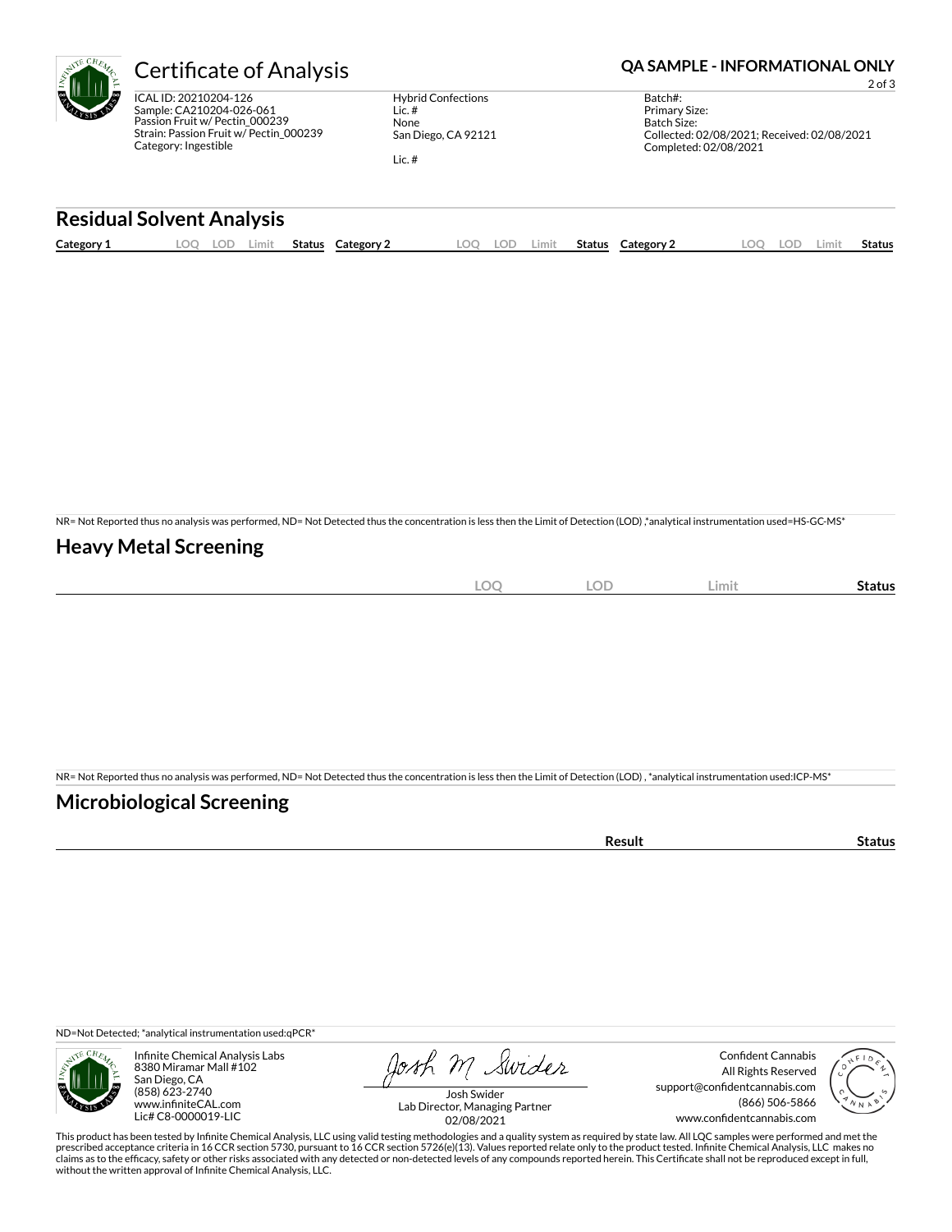| $\varepsilon_{l_i}$ |
|---------------------|
|---------------------|

ICAL ID: 20210204-126 Sample: CA210204-026-061 Passion Fruit w/ Pectin\_000239 Strain: Passion Fruit w/ Pectin\_000239 Category: Ingestible

Hybrid Confections Lic. # None San Diego, CA 92121 Lic. #

Certificate of Analysis **Certificate of Analysis QA SAMPLE - INFORMATIONAL ONLY** 

2 of 3

Batch#: Primary Size: Batch Size: Collected: 02/08/2021; Received: 02/08/2021 Completed: 02/08/2021

### **Residual Solvent Analysis**

|  | Category 1 | $\sim$<br><u>.</u> | -UL | Limit | Status | Category | OO | LOD | Limit | <b>Status</b> | Category 2 | nn<br>$\sim$ | LOD | .imi | Status |
|--|------------|--------------------|-----|-------|--------|----------|----|-----|-------|---------------|------------|--------------|-----|------|--------|
|--|------------|--------------------|-----|-------|--------|----------|----|-----|-------|---------------|------------|--------------|-----|------|--------|

NR= Not Reported thus no analysis was performed, ND= Not Detected thus the concentration is less then the Limit of Detection (LOD) ,\*analytical instrumentation used=HS-GC-MS\*

### **Heavy Metal Screening**

| $\sim$ $\sim$ $\sim$<br>∼ | <b>LOD</b><br>$\sim$<br>$\sim$ | Limit | Status |
|---------------------------|--------------------------------|-------|--------|
|                           |                                |       |        |

NR= Not Reported thus no analysis was performed, ND= Not Detected thus the concentration is less then the Limit of Detection (LOD) , \*analytical instrumentation used:ICP-MS\*

### **Microbiological Screening**

| −∍uı⊾<br>. |  |
|------------|--|

ND=Not Detected; \*analytical instrumentation used:qPCR\*



Infinite Chemical Analysis Labs 8380 Miramar Mall #102 San Diego, CA (858) 623-2740 www.infiniteCAL.com Lic# C8-0000019-LIC

Josh M Swider

Confident Cannabis All Rights Reserved support@confidentcannabis.com (866) 506-5866 www.confidentcannabis.com



Josh Swider Lab Director, Managing Partner 02/08/2021

This product has been tested by Infinite Chemical Analysis, LLC using valid testing methodologies and a quality system as required by state law. All LQC samples were performed and met the<br>prescribed acceptance criteria in without the written approval of Infinite Chemical Analysis, LLC.